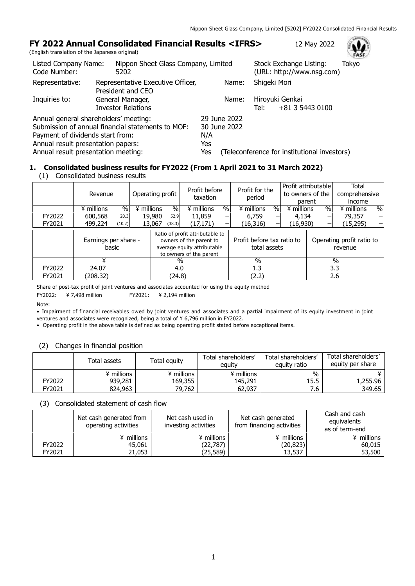## **FY 2022 Annual Consolidated Financial Results <IFRS>** 12 May 2022

(English translation of the Japanese original)

| Listed Company Name:<br>Code Number:  | Nippon Sheet Glass Company, Limited<br>5202            |              | Stock Exchange Listing:<br>Tokyo<br>(URL: http://www.nsg.com) | $\sim$ $-$ |
|---------------------------------------|--------------------------------------------------------|--------------|---------------------------------------------------------------|------------|
| Representative:                       | Representative Executive Officer,<br>President and CEO | Name:        | Shigeki Mori                                                  |            |
| Inquiries to:                         | General Manager,                                       | Name:        | Hiroyuki Genkai                                               |            |
|                                       | <b>Investor Relations</b>                              |              | +81 3 5443 0100<br>Tel:                                       |            |
| Annual general shareholders' meeting: |                                                        | 29 June 2022 |                                                               |            |
|                                       | Submission of annual financial statements to MOF:      | 30 June 2022 |                                                               |            |
| Payment of dividends start from:      |                                                        | N/A          |                                                               |            |
| Annual result presentation papers:    |                                                        | Yes          |                                                               |            |
| Annual result presentation meeting:   |                                                        | Yes          | (Teleconference for institutional investors)                  |            |

# **1. Consolidated business results for FY2022 (From 1 April 2021 to 31 March 2022)**

|  | (1) Consolidated business results |  |  |
|--|-----------------------------------|--|--|
|--|-----------------------------------|--|--|

|        | Revenue                       |            | Profit before<br>Operating profit<br>taxation |                                                                                                                      | Profit for the<br>period |                                            |               | Profit attributable<br>to owners of the<br>parent | Total<br>comprehensive<br>income |                                      |               |      |
|--------|-------------------------------|------------|-----------------------------------------------|----------------------------------------------------------------------------------------------------------------------|--------------------------|--------------------------------------------|---------------|---------------------------------------------------|----------------------------------|--------------------------------------|---------------|------|
|        | $\%$<br>¥ millions            | ¥ millions |                                               | $\%$                                                                                                                 | ¥ millions               | $\%$                                       | ¥ millions    | $\%$                                              | ¥ millions                       | $\%$                                 | ¥ millions    | $\%$ |
| FY2022 | 600,568<br>20.3               |            | 19,980                                        | 52.9                                                                                                                 | 11,859                   | $\overline{\phantom{0}}$                   | 6,759         | -                                                 | 4,134                            | —                                    | 79,357        |      |
| FY2021 | 499,224<br>(10.2)             |            | 13,067                                        | (38.3)                                                                                                               | (17,171)                 | —                                          | (16, 316)     | —                                                 | (16,930)                         |                                      | (15,295)      |      |
|        | Earnings per share -<br>basic |            |                                               | Ratio of profit attributable to<br>owners of the parent to<br>average equity attributable<br>to owners of the parent |                          | Profit before tax ratio to<br>total assets |               |                                                   |                                  | Operating profit ratio to<br>revenue |               |      |
|        |                               |            | $\%$                                          |                                                                                                                      |                          |                                            | $\frac{0}{0}$ |                                                   |                                  |                                      | $\frac{0}{0}$ |      |
| FY2022 | 24.07                         |            | 4.0                                           |                                                                                                                      |                          |                                            | 1.3           |                                                   |                                  |                                      | 3.3           |      |
| FY2021 | (208.32)                      |            |                                               | (24.8)                                                                                                               |                          |                                            | (2.2)         |                                                   |                                  |                                      | 2.6           |      |

Share of post-tax profit of joint ventures and associates accounted for using the equity method

FY2022: ¥ 7,498 million FY2021: ¥ 2,194 million

Note:

• Impairment of financial receivables owed by joint ventures and associates and a partial impairment of its equity investment in joint ventures and associates were recognized, being a total of ¥ 6,796 million in FY2022.

• Operating profit in the above table is defined as being operating profit stated before exceptional items.

#### (2) Changes in financial position

|        | Total assets | Total equity | Total shareholders'<br>eauity | Total shareholders'<br>equity ratio | Total shareholders'<br>equity per share |
|--------|--------------|--------------|-------------------------------|-------------------------------------|-----------------------------------------|
|        | ¥ millions   | ¥ millions   | ¥ millions                    | $\%$                                |                                         |
| FY2022 | 939,281      | 169,355      | 145,291                       | 15.5                                | 1,255.96                                |
| FY2021 | 824,963      | 79.762       | 62,937                        | 7.6                                 | 349.65                                  |

(3) Consolidated statement of cash flow

|        | Net cash generated from<br>operating activities | Net cash used in<br>investing activities | Net cash generated<br>from financing activities | Cash and cash<br>equivalents<br>as of term-end |
|--------|-------------------------------------------------|------------------------------------------|-------------------------------------------------|------------------------------------------------|
|        | ¥ millions                                      | ¥ millions                               | ¥ millions                                      | ¥ millions                                     |
| FY2022 | 45,061                                          | (22,787)                                 | (20, 823)                                       | 60,015                                         |
| FY2021 | 21,053                                          | (25,589)                                 | 13,537                                          | 53,500                                         |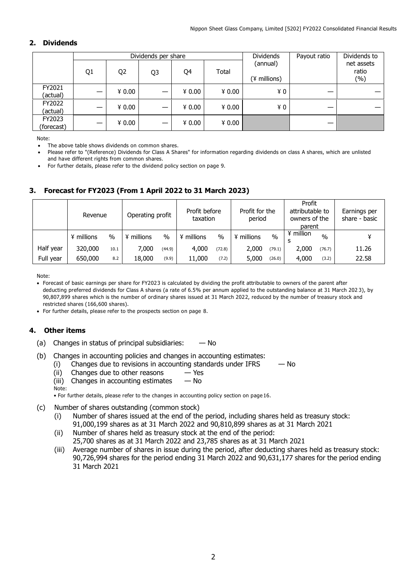### **2. Dividends**

|                      |    |                | Dividends per share |        |        | <b>Dividends</b>         | Payout ratio | Dividends to               |
|----------------------|----|----------------|---------------------|--------|--------|--------------------------|--------------|----------------------------|
|                      | Q1 | Q <sub>2</sub> | Q3                  | Q4     | Total  | (annual)<br>(¥ millions) |              | net assets<br>ratio<br>(%) |
| FY2021<br>(actual)   | —  | 40.00          |                     | ¥ 0.00 | ¥ 0.00 | ¥0                       |              |                            |
| FY2022<br>(actual)   | –  | ¥ 0.00         |                     | ¥ 0.00 | ¥ 0.00 | ¥0                       |              |                            |
| FY2023<br>(forecast) |    | 40.00          |                     | 40.00  | ¥ 0.00 |                          |              |                            |

Note:

- The above table shows dividends on common shares.
- Please refer to "(Reference) Dividends for Class A Shares" for information regarding dividends on class A shares, which are unlisted and have different rights from common shares.
- For further details, please refer to the dividend policy section on page 9.

## **3. Forecast for FY2023 (From 1 April 2022 to 31 March 2023)**

|           | Revenue    |               | Operating profit |        | Profit before<br>taxation |        | Profit for the<br>period |        | Profit<br>attributable to<br>owners of the<br>parent |               | Earnings per<br>share - basic |
|-----------|------------|---------------|------------------|--------|---------------------------|--------|--------------------------|--------|------------------------------------------------------|---------------|-------------------------------|
|           | ¥ millions | $\frac{0}{0}$ | ¥ millions       | $\%$   | millions                  | $\%$   | ¥ millions               | $\%$   | ¥ million                                            | $\frac{0}{0}$ |                               |
| Half year | 320,000    | 10.1          | 7,000            | (44.9) | 4,000                     | (72.8) | 2,000                    | (79.1) | 2,000                                                | (76.7)        | 11.26                         |
| Full year | 650,000    | 8.2           | 18,000           | (9.9)  | 11,000                    | (7.2)  | 5,000                    | (26.0) | 4,000                                                | (3.2)         | 22.58                         |

Note:

 Forecast of basic earnings per share for FY2023 is calculated by dividing the profit attributable to owners of the parent after deducting preferred dividends for Class A shares (a rate of 6.5% per annum applied to the outstanding balance at 31 March 202 3), by 90,807,899 shares which is the number of ordinary shares issued at 31 March 2022, reduced by the number of treasury stock and restricted shares (166,600 shares).

For further details, please refer to the prospects section on page 8.

### **4. Other items**

- (a) Changes in status of principal subsidiaries:  $-$  No
- (b) Changes in accounting policies and changes in accounting estimates:
	- (i) Changes due to revisions in accounting standards under IFRS  $-$  No
	- (ii) Changes due to other reasons  $-$  Yes
	- (iii) Changes in accounting estimates  $-$  No
	- Note: • For further details, please refer to the changes in accounting policy section on page 16.
- (c) Number of shares outstanding (common stock)
	- (i) Number of shares issued at the end of the period, including shares held as treasury stock: 91,000,199 shares as at 31 March 2022 and 90,810,899 shares as at 31 March 2021
	- (ii) Number of shares held as treasury stock at the end of the period: 25,700 shares as at 31 March 2022 and 23,785 shares as at 31 March 2021
	- (iii) Average number of shares in issue during the period, after deducting shares held as treasury stock: 90,726,994 shares for the period ending 31 March 2022 and 90,631,177 shares for the period ending 31 March 2021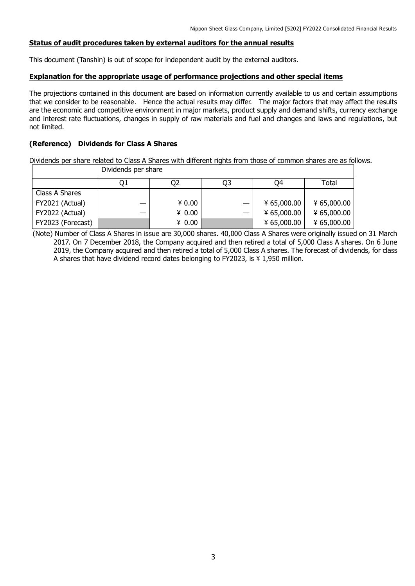### **Status of audit procedures taken by external auditors for the annual results**

This document (Tanshin) is out of scope for independent audit by the external auditors.

### **Explanation for the appropriate usage of performance projections and other special items**

The projections contained in this document are based on information currently available to us and certain assumptions that we consider to be reasonable. Hence the actual results may differ. The major factors that may affect the results are the economic and competitive environment in major markets, product supply and demand shifts, currency exchange and interest rate fluctuations, changes in supply of raw materials and fuel and changes and laws and regulations, but not limited.

### **(Reference) Dividends for Class A Shares**

Dividends per share related to Class A Shares with different rights from those of common shares are as follows. Dividends per share

|                   | 01 | O2     | Q3 | O4          | Total       |
|-------------------|----|--------|----|-------------|-------------|
| Class A Shares    |    |        |    |             |             |
| FY2021 (Actual)   | —  | 40.00  |    | ¥ 65,000.00 | ¥ 65,000.00 |
| FY2022 (Actual)   |    | 40.00  |    | ¥ 65,000.00 | ¥ 65,000.00 |
| FY2023 (Forecast) |    | ¥ 0.00 |    | ¥ 65,000.00 | 465,000.00  |

(Note) Number of Class A Shares in issue are 30,000 shares. 40,000 Class A Shares were originally issued on 31 March 2017. On 7 December 2018, the Company acquired and then retired a total of 5,000 Class A shares. On 6 June 2019, the Company acquired and then retired a total of 5,000 Class A shares. The forecast of dividends, for class A shares that have dividend record dates belonging to FY2023, is ¥ 1,950 million.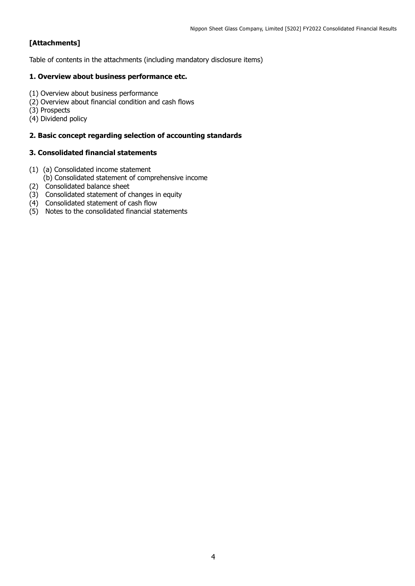## **[Attachments]**

Table of contents in the attachments (including mandatory disclosure items)

### **1. Overview about business performance etc.**

- (1) Overview about business performance
- (2) Overview about financial condition and cash flows
- (3) Prospects
- (4) Dividend policy

### **2. Basic concept regarding selection of accounting standards**

### **3. Consolidated financial statements**

- (1) (a) Consolidated income statement
- (b) Consolidated statement of comprehensive income
- (2) Consolidated balance sheet
- (3) Consolidated statement of changes in equity
- (4) Consolidated statement of cash flow
- (5) Notes to the consolidated financial statements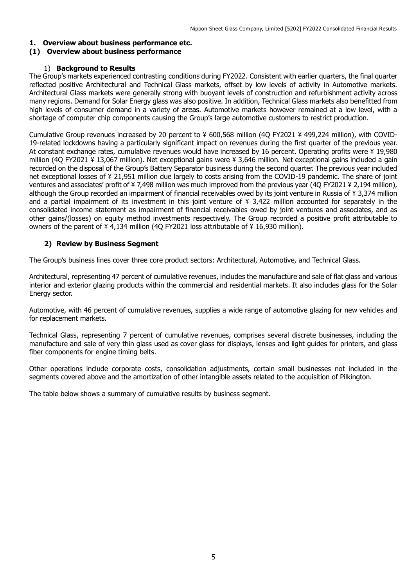## **1. Overview about business performance etc.**

### **(1) Overview about business performance**

### 1) **Background to Results**

The Group's markets experienced contrasting conditions during FY2022. Consistent with earlier quarters, the final quarter reflected positive Architectural and Technical Glass markets, offset by low levels of activity in Automotive markets. Architectural Glass markets were generally strong with buoyant levels of construction and refurbishment activity across many regions. Demand for Solar Energy glass was also positive. In addition, Technical Glass markets also benefitted from high levels of consumer demand in a variety of areas. Automotive markets however remained at a low level, with a shortage of computer chip components causing the Group's large automotive customers to restrict production.

Cumulative Group revenues increased by 20 percent to ¥ 600,568 million (4Q FY2021 ¥ 499,224 million), with COVID-19-related lockdowns having a particularly significant impact on revenues during the first quarter of the previous year. At constant exchange rates, cumulative revenues would have increased by 16 percent. Operating profits were ¥ 19,980 million (4Q FY2021 ¥ 13,067 million). Net exceptional gains were ¥ 3,646 million. Net exceptional gains included a gain recorded on the disposal of the Group's Battery Separator business during the second quarter. The previous year included net exceptional losses of ¥ 21,951 million due largely to costs arising from the COVID-19 pandemic. The share of joint ventures and associates' profit of ¥ 7,498 million was much improved from the previous year (4Q FY2021 ¥ 2,194 million), although the Group recorded an impairment of financial receivables owed by its joint venture in Russia of ¥ 3,374 million and a partial impairment of its investment in this joint venture of ¥ 3,422 million accounted for separately in the consolidated income statement as impairment of financial receivables owed by joint ventures and associates, and as other gains/(losses) on equity method investments respectively. The Group recorded a positive profit attributable to owners of the parent of ¥ 4,134 million (4Q FY2021 loss attributable of ¥ 16,930 million).

### **2) Review by Business Segment**

The Group's business lines cover three core product sectors: Architectural, Automotive, and Technical Glass.

Architectural, representing 47 percent of cumulative revenues, includes the manufacture and sale of flat glass and various interior and exterior glazing products within the commercial and residential markets. It also includes glass for the Solar Energy sector.

Automotive, with 46 percent of cumulative revenues, supplies a wide range of automotive glazing for new vehicles and for replacement markets.

Technical Glass, representing 7 percent of cumulative revenues, comprises several discrete businesses, including the manufacture and sale of very thin glass used as cover glass for displays, lenses and light guides for printers, and glass fiber components for engine timing belts.

Other operations include corporate costs, consolidation adjustments, certain small businesses not included in the segments covered above and the amortization of other intangible assets related to the acquisition of Pilkington.

The table below shows a summary of cumulative results by business segment.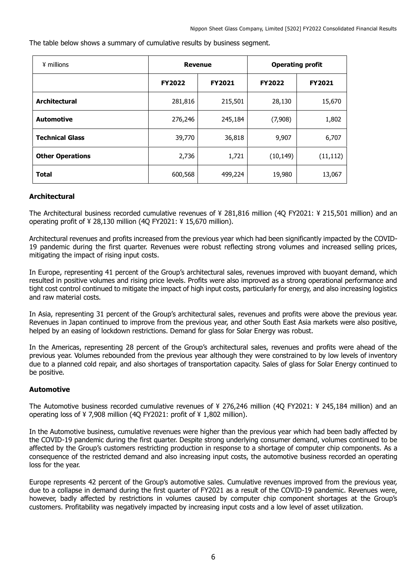The table below shows a summary of cumulative results by business segment.

| ¥ millions              | <b>Revenue</b> |               | <b>Operating profit</b> |               |  |
|-------------------------|----------------|---------------|-------------------------|---------------|--|
|                         | <b>FY2022</b>  | <b>FY2021</b> | <b>FY2022</b>           | <b>FY2021</b> |  |
| <b>Architectural</b>    | 281,816        | 215,501       | 28,130                  | 15,670        |  |
| <b>Automotive</b>       | 276,246        | 245,184       | (7,908)                 | 1,802         |  |
| <b>Technical Glass</b>  | 39,770         | 36,818        | 9,907                   | 6,707         |  |
| <b>Other Operations</b> | 2,736          | 1,721         | (10, 149)               | (11, 112)     |  |
| <b>Total</b>            | 600,568        | 499,224       | 19,980                  | 13,067        |  |

### **Architectural**

The Architectural business recorded cumulative revenues of ¥ 281,816 million (4Q FY2021: ¥ 215,501 million) and an operating profit of ¥ 28,130 million (4Q FY2021: ¥ 15,670 million).

Architectural revenues and profits increased from the previous year which had been significantly impacted by the COVID-19 pandemic during the first quarter. Revenues were robust reflecting strong volumes and increased selling prices, mitigating the impact of rising input costs.

In Europe, representing 41 percent of the Group's architectural sales, revenues improved with buoyant demand, which resulted in positive volumes and rising price levels. Profits were also improved as a strong operational performance and tight cost control continued to mitigate the impact of high input costs, particularly for energy, and also increasing logistics and raw material costs.

In Asia, representing 31 percent of the Group's architectural sales, revenues and profits were above the previous year. Revenues in Japan continued to improve from the previous year, and other South East Asia markets were also positive, helped by an easing of lockdown restrictions. Demand for glass for Solar Energy was robust.

In the Americas, representing 28 percent of the Group's architectural sales, revenues and profits were ahead of the previous year. Volumes rebounded from the previous year although they were constrained to by low levels of inventory due to a planned cold repair, and also shortages of transportation capacity. Sales of glass for Solar Energy continued to be positive.

## **Automotive**

The Automotive business recorded cumulative revenues of ¥ 276,246 million (4Q FY2021: ¥ 245,184 million) and an operating loss of ¥ 7,908 million (4Q FY2021: profit of ¥ 1,802 million).

In the Automotive business, cumulative revenues were higher than the previous year which had been badly affected by the COVID-19 pandemic during the first quarter. Despite strong underlying consumer demand, volumes continued to be affected by the Group's customers restricting production in response to a shortage of computer chip components. As a consequence of the restricted demand and also increasing input costs, the automotive business recorded an operating loss for the year.

Europe represents 42 percent of the Group's automotive sales. Cumulative revenues improved from the previous year, due to a collapse in demand during the first quarter of FY2021 as a result of the COVID-19 pandemic. Revenues were, however, badly affected by restrictions in volumes caused by computer chip component shortages at the Group's customers. Profitability was negatively impacted by increasing input costs and a low level of asset utilization.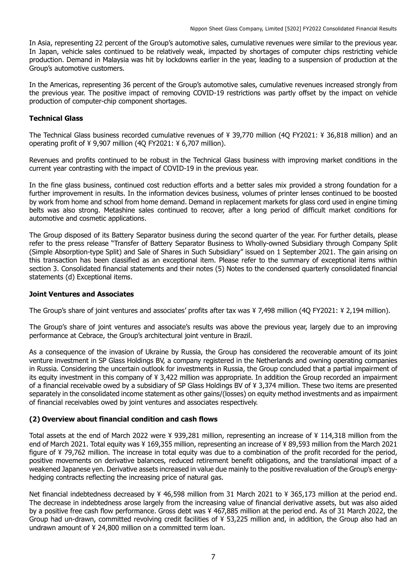In Asia, representing 22 percent of the Group's automotive sales, cumulative revenues were similar to the previous year. In Japan, vehicle sales continued to be relatively weak, impacted by shortages of computer chips restricting vehicle production. Demand in Malaysia was hit by lockdowns earlier in the year, leading to a suspension of production at the Group's automotive customers.

In the Americas, representing 36 percent of the Group's automotive sales, cumulative revenues increased strongly from the previous year. The positive impact of removing COVID-19 restrictions was partly offset by the impact on vehicle production of computer-chip component shortages.

## **Technical Glass**

The Technical Glass business recorded cumulative revenues of ¥ 39,770 million (4Q FY2021: ¥ 36,818 million) and an operating profit of ¥ 9,907 million (4Q FY2021: ¥ 6,707 million).

Revenues and profits continued to be robust in the Technical Glass business with improving market conditions in the current year contrasting with the impact of COVID-19 in the previous year.

In the fine glass business, continued cost reduction efforts and a better sales mix provided a strong foundation for a further improvement in results. In the information devices business, volumes of printer lenses continued to be boosted by work from home and school from home demand. Demand in replacement markets for glass cord used in engine timing belts was also strong. Metashine sales continued to recover, after a long period of difficult market conditions for automotive and cosmetic applications.

The Group disposed of its Battery Separator business during the second quarter of the year. For further details, please refer to the press release "Transfer of Battery Separator Business to Wholly-owned Subsidiary through Company Split (Simple Absorption-type Split) and Sale of Shares in Such Subsidiary" issued on 1 September 2021. The gain arising on this transaction has been classified as an exceptional item. Please refer to the summary of exceptional items within section 3. Consolidated financial statements and their notes (5) Notes to the condensed quarterly consolidated financial statements (d) Exceptional items.

### **Joint Ventures and Associates**

The Group's share of joint ventures and associates' profits after tax was ¥ 7,498 million (4Q FY2021: ¥ 2,194 million).

The Group's share of joint ventures and associate's results was above the previous year, largely due to an improving performance at Cebrace, the Group's architectural joint venture in Brazil.

As a consequence of the invasion of Ukraine by Russia, the Group has considered the recoverable amount of its joint venture investment in SP Glass Holdings BV, a company registered in the Netherlands and owning operating companies in Russia. Considering the uncertain outlook for investments in Russia, the Group concluded that a partial impairment of its equity investment in this company of ¥ 3,422 million was appropriate. In addition the Group recorded an impairment of a financial receivable owed by a subsidiary of SP Glass Holdings BV of ¥ 3,374 million. These two items are presented separately in the consolidated income statement as other gains/(losses) on equity method investments and as impairment of financial receivables owed by joint ventures and associates respectively.

### **(2) Overview about financial condition and cash flows**

Total assets at the end of March 2022 were ¥ 939,281 million, representing an increase of ¥ 114,318 million from the end of March 2021. Total equity was ¥ 169,355 million, representing an increase of ¥ 89,593 million from the March 2021 figure of ¥ 79,762 million. The increase in total equity was due to a combination of the profit recorded for the period, positive movements on derivative balances, reduced retirement benefit obligations, and the translational impact of a weakened Japanese yen. Derivative assets increased in value due mainly to the positive revaluation of the Group's energyhedging contracts reflecting the increasing price of natural gas.

Net financial indebtedness decreased by ¥ 46,598 million from 31 March 2021 to ¥ 365,173 million at the period end. The decrease in indebtedness arose largely from the increasing value of financial derivative assets, but was also aided by a positive free cash flow performance. Gross debt was ¥ 467,885 million at the period end. As of 31 March 2022, the Group had un-drawn, committed revolving credit facilities of ¥ 53,225 million and, in addition, the Group also had an undrawn amount of ¥ 24,800 million on a committed term loan.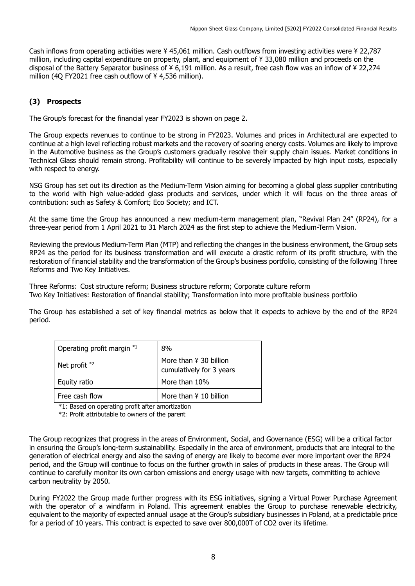Cash inflows from operating activities were ¥ 45,061 million. Cash outflows from investing activities were ¥ 22,787 million, including capital expenditure on property, plant, and equipment of ¥ 33,080 million and proceeds on the disposal of the Battery Separator business of ¥ 6,191 million. As a result, free cash flow was an inflow of ¥ 22,274 million (4Q FY2021 free cash outflow of ¥ 4,536 million).

## **(3) Prospects**

The Group's forecast for the financial year FY2023 is shown on page 2.

The Group expects revenues to continue to be strong in FY2023. Volumes and prices in Architectural are expected to continue at a high level reflecting robust markets and the recovery of soaring energy costs. Volumes are likely to improve in the Automotive business as the Group's customers gradually resolve their supply chain issues. Market conditions in Technical Glass should remain strong. Profitability will continue to be severely impacted by high input costs, especially with respect to energy.

NSG Group has set out its direction as the Medium-Term Vision aiming for becoming a global glass supplier contributing to the world with high value-added glass products and services, under which it will focus on the three areas of contribution: such as Safety & Comfort; Eco Society; and ICT.

At the same time the Group has announced a new medium-term management plan, "Revival Plan 24" (RP24), for a three-year period from 1 April 2021 to 31 March 2024 as the first step to achieve the Medium-Term Vision.

Reviewing the previous Medium-Term Plan (MTP) and reflecting the changes in the business environment, the Group sets RP24 as the period for its business transformation and will execute a drastic reform of its profit structure, with the restoration of financial stability and the transformation of the Group's business portfolio, consisting of the following Three Reforms and Two Key Initiatives.

Three Reforms: Cost structure reform; Business structure reform; Corporate culture reform Two Key Initiatives: Restoration of financial stability; Transformation into more profitable business portfolio

The Group has established a set of key financial metrics as below that it expects to achieve by the end of the RP24 period.

| Operating profit margin *1 | 8%                                                 |
|----------------------------|----------------------------------------------------|
| Net profit $*2$            | More than ¥ 30 billion<br>cumulatively for 3 years |
| Equity ratio               | More than 10%                                      |
| Free cash flow             | More than ¥ 10 billion                             |

\*1: Based on operating profit after amortization

\*2: Profit attributable to owners of the parent

The Group recognizes that progress in the areas of Environment, Social, and Governance (ESG) will be a critical factor in ensuring the Group's long-term sustainability. Especially in the area of environment, products that are integral to the generation of electrical energy and also the saving of energy are likely to become ever more important over the RP24 period, and the Group will continue to focus on the further growth in sales of products in these areas. The Group will continue to carefully monitor its own carbon emissions and energy usage with new targets, committing to achieve carbon neutrality by 2050.

During FY2022 the Group made further progress with its ESG initiatives, signing a Virtual Power Purchase Agreement with the operator of a windfarm in Poland. This agreement enables the Group to purchase renewable electricity, equivalent to the majority of expected annual usage at the Group's subsidiary businesses in Poland, at a predictable price for a period of 10 years. This contract is expected to save over 800,000T of CO2 over its lifetime.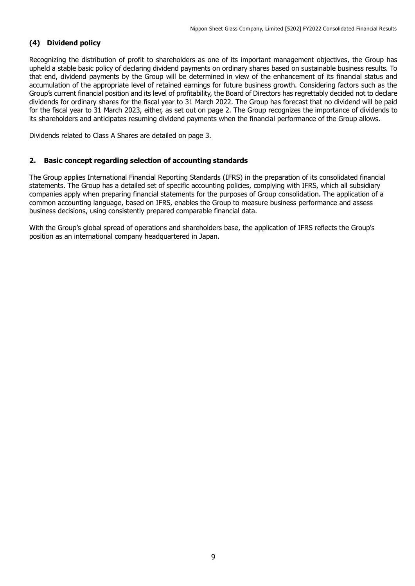## **(4) Dividend policy**

Recognizing the distribution of profit to shareholders as one of its important management objectives, the Group has upheld a stable basic policy of declaring dividend payments on ordinary shares based on sustainable business results. To that end, dividend payments by the Group will be determined in view of the enhancement of its financial status and accumulation of the appropriate level of retained earnings for future business growth. Considering factors such as the Group's current financial position and its level of profitability, the Board of Directors has regrettably decided not to declare dividends for ordinary shares for the fiscal year to 31 March 2022. The Group has forecast that no dividend will be paid for the fiscal year to 31 March 2023, either, as set out on page 2. The Group recognizes the importance of dividends to its shareholders and anticipates resuming dividend payments when the financial performance of the Group allows.

Dividends related to Class A Shares are detailed on page 3.

## **2. Basic concept regarding selection of accounting standards**

The Group applies International Financial Reporting Standards (IFRS) in the preparation of its consolidated financial statements. The Group has a detailed set of specific accounting policies, complying with IFRS, which all subsidiary companies apply when preparing financial statements for the purposes of Group consolidation. The application of a common accounting language, based on IFRS, enables the Group to measure business performance and assess business decisions, using consistently prepared comparable financial data.

With the Group's global spread of operations and shareholders base, the application of IFRS reflects the Group's position as an international company headquartered in Japan.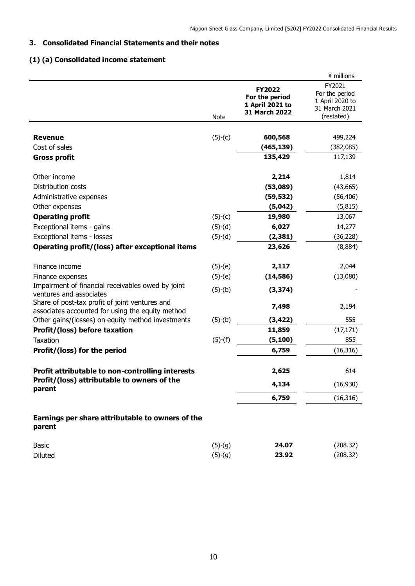## **3. Consolidated Financial Statements and their notes**

## **(1) (a) Consolidated income statement**

|                                                                                                    |             |                                                                     | ¥ millions                                                                 |
|----------------------------------------------------------------------------------------------------|-------------|---------------------------------------------------------------------|----------------------------------------------------------------------------|
|                                                                                                    | <b>Note</b> | <b>FY2022</b><br>For the period<br>1 April 2021 to<br>31 March 2022 | FY2021<br>For the period<br>1 April 2020 to<br>31 March 2021<br>(restated) |
|                                                                                                    |             |                                                                     |                                                                            |
| <b>Revenue</b><br>Cost of sales                                                                    | $(5)-(c)$   | 600,568<br>(465, 139)                                               | 499,224<br>(382,085)                                                       |
| <b>Gross profit</b>                                                                                |             | 135,429                                                             | 117,139                                                                    |
| Other income                                                                                       |             | 2,214                                                               | 1,814                                                                      |
| Distribution costs                                                                                 |             | (53,089)                                                            | (43, 665)                                                                  |
| Administrative expenses                                                                            |             | (59, 532)                                                           | (56, 406)                                                                  |
| Other expenses                                                                                     |             | (5,042)                                                             | (5, 815)                                                                   |
| <b>Operating profit</b>                                                                            | $(5)-(c)$   | 19,980                                                              | 13,067                                                                     |
| Exceptional items - gains                                                                          | $(5)-(d)$   | 6,027                                                               | 14,277                                                                     |
| Exceptional items - losses                                                                         | $(5)-(d)$   | (2, 381)                                                            | (36, 228)                                                                  |
| Operating profit/(loss) after exceptional items                                                    |             | 23,626                                                              | (8,884)                                                                    |
| Finance income                                                                                     | $(5)-(e)$   | 2,117                                                               | 2,044                                                                      |
| Finance expenses                                                                                   | $(5)-(e)$   | (14, 586)                                                           | (13,080)                                                                   |
| Impairment of financial receivables owed by joint<br>ventures and associates                       | $(5)-(b)$   | (3, 374)                                                            |                                                                            |
| Share of post-tax profit of joint ventures and<br>associates accounted for using the equity method |             | 7,498                                                               | 2,194                                                                      |
| Other gains/(losses) on equity method investments                                                  | $(5)-(b)$   | (3, 422)                                                            | 555                                                                        |
| Profit/(loss) before taxation                                                                      |             | 11,859                                                              | (17, 171)                                                                  |
| Taxation                                                                                           | $(5)-(f)$   | (5, 100)                                                            | 855                                                                        |
| Profit/(loss) for the period                                                                       |             | 6,759                                                               | (16, 316)                                                                  |
| Profit attributable to non-controlling interests                                                   |             | 2,625                                                               | 614                                                                        |
| Profit/(loss) attributable to owners of the<br>parent                                              |             | 4,134                                                               | (16,930)                                                                   |
|                                                                                                    |             | 6,759                                                               | (16, 316)                                                                  |
| Earnings per share attributable to owners of the<br>parent                                         |             |                                                                     |                                                                            |
| <b>Basic</b>                                                                                       | $(5)-(9)$   | 24.07                                                               | (208.32)                                                                   |
| <b>Diluted</b>                                                                                     | $(5)-(9)$   | 23.92                                                               | (208.32)                                                                   |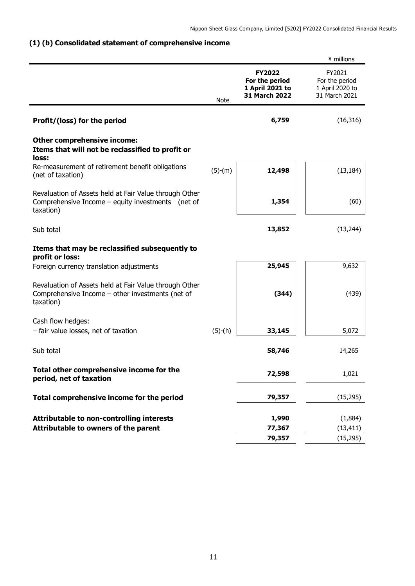## **(1) (b) Consolidated statement of comprehensive income**

|                                                                                                                          |             |                                                                     | ¥ millions                                                   |
|--------------------------------------------------------------------------------------------------------------------------|-------------|---------------------------------------------------------------------|--------------------------------------------------------------|
|                                                                                                                          | <b>Note</b> | <b>FY2022</b><br>For the period<br>1 April 2021 to<br>31 March 2022 | FY2021<br>For the period<br>1 April 2020 to<br>31 March 2021 |
| Profit/(loss) for the period                                                                                             |             | 6,759                                                               | (16, 316)                                                    |
| <b>Other comprehensive income:</b><br>Items that will not be reclassified to profit or<br>loss:                          |             |                                                                     |                                                              |
| Re-measurement of retirement benefit obligations<br>(net of taxation)                                                    | $(5)-(m)$   | 12,498                                                              | (13, 184)                                                    |
| Revaluation of Assets held at Fair Value through Other<br>Comprehensive Income - equity investments (net of<br>taxation) |             | 1,354                                                               | (60)                                                         |
| Sub total                                                                                                                |             | 13,852                                                              | (13, 244)                                                    |
| Items that may be reclassified subsequently to<br>profit or loss:                                                        |             |                                                                     |                                                              |
| Foreign currency translation adjustments                                                                                 |             | 25,945                                                              | 9,632                                                        |
| Revaluation of Assets held at Fair Value through Other<br>Comprehensive Income - other investments (net of<br>taxation)  |             | (344)                                                               | (439)                                                        |
| Cash flow hedges:                                                                                                        |             |                                                                     |                                                              |
| - fair value losses, net of taxation                                                                                     | $(5)-(h)$   | 33,145                                                              | 5,072                                                        |
| Sub total                                                                                                                |             | 58,746                                                              | 14,265                                                       |
| Total other comprehensive income for the<br>period, net of taxation                                                      |             | 72,598                                                              | 1,021                                                        |
| Total comprehensive income for the period                                                                                |             | 79,357                                                              | (15, 295)                                                    |
| <b>Attributable to non-controlling interests</b>                                                                         |             | 1,990                                                               | (1,884)                                                      |
| Attributable to owners of the parent                                                                                     |             | 77,367                                                              | (13, 411)                                                    |
|                                                                                                                          |             | 79,357                                                              | (15, 295)                                                    |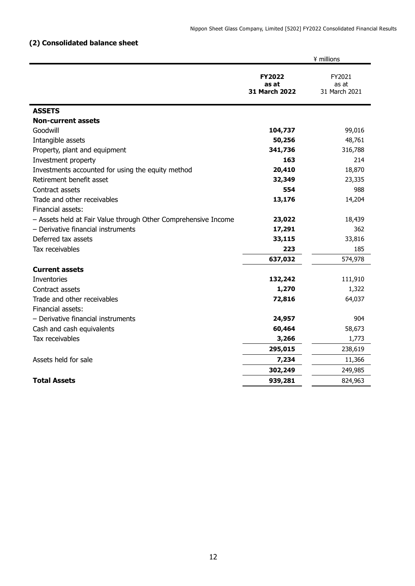## **(2) Consolidated balance sheet**

|                                                                | ¥ millions                              |                                  |  |
|----------------------------------------------------------------|-----------------------------------------|----------------------------------|--|
|                                                                | <b>FY2022</b><br>as at<br>31 March 2022 | FY2021<br>as at<br>31 March 2021 |  |
| <b>ASSETS</b>                                                  |                                         |                                  |  |
| <b>Non-current assets</b>                                      |                                         |                                  |  |
| Goodwill                                                       | 104,737                                 | 99,016                           |  |
| Intangible assets                                              | 50,256                                  | 48,761                           |  |
| Property, plant and equipment                                  | 341,736                                 | 316,788                          |  |
| Investment property                                            | 163                                     | 214                              |  |
| Investments accounted for using the equity method              | 20,410                                  | 18,870                           |  |
| Retirement benefit asset                                       | 32,349                                  | 23,335                           |  |
| Contract assets                                                | 554                                     | 988                              |  |
| Trade and other receivables                                    | 13,176                                  | 14,204                           |  |
| Financial assets:                                              |                                         |                                  |  |
| - Assets held at Fair Value through Other Comprehensive Income | 23,022                                  | 18,439                           |  |
| - Derivative financial instruments                             | 17,291                                  | 362                              |  |
| Deferred tax assets                                            | 33,115                                  | 33,816                           |  |
| Tax receivables                                                | 223                                     | 185                              |  |
|                                                                | 637,032                                 | 574,978                          |  |
| <b>Current assets</b>                                          |                                         |                                  |  |
| Inventories                                                    | 132,242                                 | 111,910                          |  |
| Contract assets                                                | 1,270                                   | 1,322                            |  |
| Trade and other receivables                                    | 72,816                                  | 64,037                           |  |
| Financial assets:                                              |                                         |                                  |  |
| - Derivative financial instruments                             | 24,957                                  | 904                              |  |
| Cash and cash equivalents                                      | 60,464                                  | 58,673                           |  |
| Tax receivables                                                | 3,266                                   | 1,773                            |  |
|                                                                | 295,015                                 | 238,619                          |  |
| Assets held for sale                                           | 7,234                                   | 11,366                           |  |
|                                                                | 302,249                                 | 249,985                          |  |
| <b>Total Assets</b>                                            | 939,281                                 | 824,963                          |  |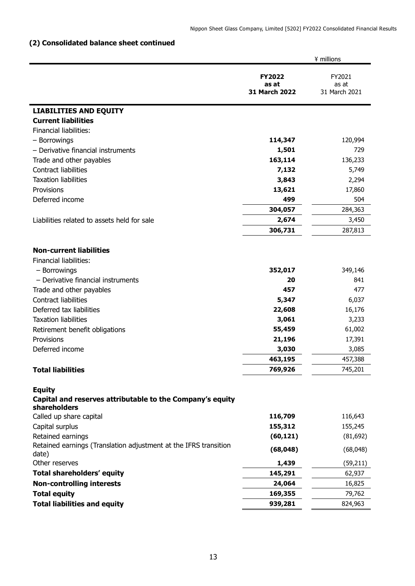## **(2) Consolidated balance sheet continued**

|                                                                                            |                                         | ¥ millions                       |
|--------------------------------------------------------------------------------------------|-----------------------------------------|----------------------------------|
|                                                                                            | <b>FY2022</b><br>as at<br>31 March 2022 | FY2021<br>as at<br>31 March 2021 |
| <b>LIABILITIES AND EQUITY</b>                                                              |                                         |                                  |
| <b>Current liabilities</b>                                                                 |                                         |                                  |
| Financial liabilities:                                                                     |                                         |                                  |
| - Borrowings                                                                               | 114,347                                 | 120,994                          |
| - Derivative financial instruments                                                         | 1,501                                   | 729                              |
| Trade and other payables                                                                   | 163,114                                 | 136,233                          |
| <b>Contract liabilities</b>                                                                | 7,132                                   | 5,749                            |
| <b>Taxation liabilities</b>                                                                | 3,843                                   | 2,294                            |
| Provisions                                                                                 | 13,621                                  | 17,860                           |
| Deferred income                                                                            | 499                                     | 504                              |
|                                                                                            | 304,057                                 | 284,363                          |
| Liabilities related to assets held for sale                                                | 2,674                                   | 3,450                            |
|                                                                                            | 306,731                                 | 287,813                          |
|                                                                                            |                                         |                                  |
| <b>Non-current liabilities</b>                                                             |                                         |                                  |
| <b>Financial liabilities:</b>                                                              |                                         |                                  |
| - Borrowings                                                                               | 352,017                                 | 349,146                          |
| - Derivative financial instruments                                                         | 20                                      | 841                              |
| Trade and other payables                                                                   | 457                                     | 477                              |
| <b>Contract liabilities</b>                                                                | 5,347                                   | 6,037                            |
| Deferred tax liabilities                                                                   | 22,608                                  | 16,176                           |
| <b>Taxation liabilities</b>                                                                | 3,061                                   | 3,233                            |
| Retirement benefit obligations                                                             | 55,459                                  | 61,002                           |
| Provisions                                                                                 | 21,196                                  | 17,391                           |
| Deferred income                                                                            | 3,030                                   | 3,085                            |
|                                                                                            | 463,195                                 | 457,388                          |
| <b>Total liabilities</b>                                                                   | 769,926                                 | 745,201                          |
|                                                                                            |                                         |                                  |
| <b>Equity</b><br>Capital and reserves attributable to the Company's equity<br>shareholders |                                         |                                  |
| Called up share capital                                                                    | 116,709                                 | 116,643                          |
| Capital surplus                                                                            | 155,312                                 | 155,245                          |
| Retained earnings                                                                          | (60, 121)                               | (81, 692)                        |
| Retained earnings (Translation adjustment at the IFRS transition<br>date)                  | (68, 048)                               | (68,048)                         |
| Other reserves                                                                             | 1,439                                   | (59, 211)                        |
| <b>Total shareholders' equity</b>                                                          | 145,291                                 | 62,937                           |
| <b>Non-controlling interests</b>                                                           | 24,064                                  | 16,825                           |
| <b>Total equity</b>                                                                        | 169,355                                 | 79,762                           |
| <b>Total liabilities and equity</b>                                                        | 939,281                                 | 824,963                          |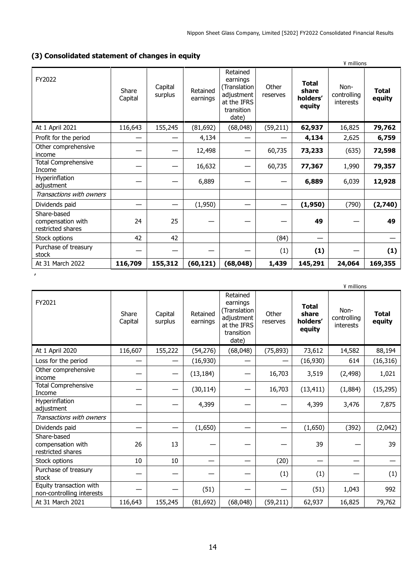## **(3) Consolidated statement of changes in equity**

|                                                       |                  |                    |                      |                                                                                          |                   | ¥ millions                                  |                                  |                        |
|-------------------------------------------------------|------------------|--------------------|----------------------|------------------------------------------------------------------------------------------|-------------------|---------------------------------------------|----------------------------------|------------------------|
| FY2022                                                | Share<br>Capital | Capital<br>surplus | Retained<br>earnings | Retained<br>earnings<br>Translation)<br>adjustment<br>at the IFRS<br>transition<br>date) | Other<br>reserves | <b>Total</b><br>share<br>holders'<br>equity | Non-<br>controlling<br>interests | <b>Total</b><br>equity |
| At 1 April 2021                                       | 116,643          | 155,245            | (81, 692)            | (68, 048)                                                                                | (59, 211)         | 62,937                                      | 16,825                           | 79,762                 |
| Profit for the period                                 |                  |                    | 4,134                |                                                                                          |                   | 4,134                                       | 2,625                            | 6,759                  |
| Other comprehensive<br>income                         |                  |                    | 12,498               |                                                                                          | 60,735            | 73,233                                      | (635)                            | 72,598                 |
| <b>Total Comprehensive</b><br>Income                  |                  |                    | 16,632               |                                                                                          | 60,735            | 77,367                                      | 1,990                            | 79,357                 |
| Hyperinflation<br>adjustment                          |                  |                    | 6,889                |                                                                                          |                   | 6,889                                       | 6,039                            | 12,928                 |
| Transactions with owners                              |                  |                    |                      |                                                                                          |                   |                                             |                                  |                        |
| Dividends paid                                        |                  |                    | (1,950)              |                                                                                          |                   | (1,950)                                     | (790)                            | (2,740)                |
| Share-based<br>compensation with<br>restricted shares | 24               | 25                 |                      |                                                                                          |                   | 49                                          |                                  | 49                     |
| Stock options                                         | 42               | 42                 |                      |                                                                                          | (84)              |                                             |                                  |                        |
| Purchase of treasury<br>stock                         |                  |                    |                      |                                                                                          | (1)               | (1)                                         |                                  | (1)                    |
| At 31 March 2022                                      | 116,709          | 155,312            | (60, 121)            | (68, 048)                                                                                | 1,439             | 145,291                                     | 24,064                           | 169,355                |

**,**

|                                                       |                  |                    |                      |                                                                                          |                   |                                             | ¥ millions                              |                        |
|-------------------------------------------------------|------------------|--------------------|----------------------|------------------------------------------------------------------------------------------|-------------------|---------------------------------------------|-----------------------------------------|------------------------|
| FY2021                                                | Share<br>Capital | Capital<br>surplus | Retained<br>earnings | Retained<br>earnings<br>(Translation<br>adjustment<br>at the IFRS<br>transition<br>date) | Other<br>reserves | <b>Total</b><br>share<br>holders'<br>equity | Non-<br>controlling<br><i>interests</i> | <b>Total</b><br>equity |
| At 1 April 2020                                       | 116,607          | 155,222            | (54, 276)            | (68, 048)                                                                                | (75, 893)         | 73,612                                      | 14,582                                  | 88,194                 |
| Loss for the period                                   |                  |                    | (16,930)             |                                                                                          |                   | (16,930)                                    | 614                                     | (16, 316)              |
| Other comprehensive<br>income                         |                  |                    | (13, 184)            |                                                                                          | 16,703            | 3,519                                       | (2, 498)                                | 1,021                  |
| <b>Total Comprehensive</b><br>Income                  |                  |                    | (30, 114)            |                                                                                          | 16,703            | (13, 411)                                   | (1,884)                                 | (15, 295)              |
| Hyperinflation<br>adjustment                          |                  |                    | 4,399                |                                                                                          |                   | 4,399                                       | 3,476                                   | 7,875                  |
| Transactions with owners                              |                  |                    |                      |                                                                                          |                   |                                             |                                         |                        |
| Dividends paid                                        |                  |                    | (1,650)              |                                                                                          |                   | (1,650)                                     | (392)                                   | (2,042)                |
| Share-based<br>compensation with<br>restricted shares | 26               | 13                 |                      |                                                                                          |                   | 39                                          |                                         | 39                     |
| Stock options                                         | 10               | 10                 | –                    |                                                                                          | (20)              | —                                           |                                         |                        |
| Purchase of treasury<br>stock                         |                  |                    |                      |                                                                                          | (1)               | (1)                                         |                                         | (1)                    |
| Equity transaction with<br>non-controlling interests  |                  |                    | (51)                 |                                                                                          |                   | (51)                                        | 1,043                                   | 992                    |
| At 31 March 2021                                      | 116,643          | 155,245            | (81, 692)            | (68,048)                                                                                 | (59, 211)         | 62,937                                      | 16,825                                  | 79,762                 |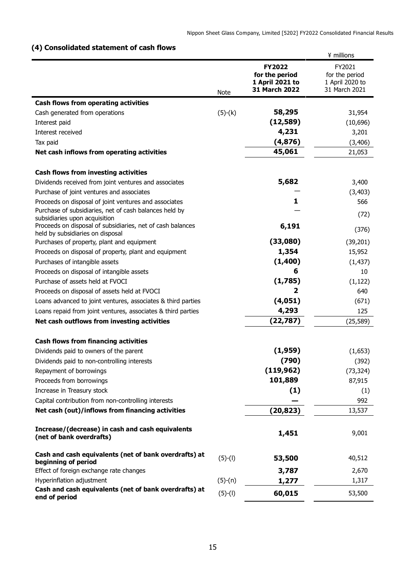## **(4) Consolidated statement of cash flows**

|                                                                                                |             |                                                                     | ¥ millions                                                   |
|------------------------------------------------------------------------------------------------|-------------|---------------------------------------------------------------------|--------------------------------------------------------------|
|                                                                                                | <b>Note</b> | <b>FY2022</b><br>for the period<br>1 April 2021 to<br>31 March 2022 | FY2021<br>for the period<br>1 April 2020 to<br>31 March 2021 |
| <b>Cash flows from operating activities</b>                                                    |             |                                                                     |                                                              |
| Cash generated from operations                                                                 | $(5)-(k)$   | 58,295                                                              | 31,954                                                       |
| Interest paid                                                                                  |             | (12, 589)                                                           | (10,696)                                                     |
| Interest received                                                                              |             | 4,231                                                               | 3,201                                                        |
| Tax paid                                                                                       |             | (4,876)                                                             | (3, 406)                                                     |
| Net cash inflows from operating activities                                                     |             | 45,061                                                              | 21,053                                                       |
| <b>Cash flows from investing activities</b>                                                    |             |                                                                     |                                                              |
| Dividends received from joint ventures and associates                                          |             | 5,682                                                               | 3,400                                                        |
| Purchase of joint ventures and associates                                                      |             |                                                                     | (3, 403)                                                     |
| Proceeds on disposal of joint ventures and associates                                          |             | 1                                                                   | 566                                                          |
| Purchase of subsidiaries, net of cash balances held by<br>subsidiaries upon acquisition        |             |                                                                     | (72)                                                         |
| Proceeds on disposal of subsidiaries, net of cash balances<br>held by subsidiaries on disposal |             | 6,191                                                               | (376)                                                        |
| Purchases of property, plant and equipment                                                     |             | (33,080)                                                            | (39, 201)                                                    |
| Proceeds on disposal of property, plant and equipment                                          |             | 1,354                                                               | 15,952                                                       |
| Purchases of intangible assets                                                                 |             | (1,400)                                                             | (1, 437)                                                     |
| Proceeds on disposal of intangible assets                                                      |             | 6                                                                   | 10                                                           |
| Purchase of assets held at FVOCI                                                               |             | (1,785)                                                             | (1, 122)                                                     |
| Proceeds on disposal of assets held at FVOCI                                                   |             | 2                                                                   | 640                                                          |
| Loans advanced to joint ventures, associates & third parties                                   |             | (4,051)                                                             | (671)                                                        |
| Loans repaid from joint ventures, associates & third parties                                   |             | 4,293                                                               | 125                                                          |
| Net cash outflows from investing activities                                                    |             | (22, 787)                                                           | (25, 589)                                                    |
| <b>Cash flows from financing activities</b>                                                    |             |                                                                     |                                                              |
| Dividends paid to owners of the parent                                                         |             | (1,959)                                                             | (1,653)                                                      |
| Dividends paid to non-controlling interests                                                    |             | (790)                                                               | (392)                                                        |
| Repayment of borrowings                                                                        |             | (119, 962)                                                          | (73, 324)                                                    |
| Proceeds from borrowings                                                                       |             | 101,889                                                             | 87,915                                                       |
| Increase in Treasury stock                                                                     |             | (1)                                                                 | (1)                                                          |
| Capital contribution from non-controlling interests                                            |             |                                                                     | 992                                                          |
| Net cash (out)/inflows from financing activities                                               |             | (20, 823)                                                           | 13,537                                                       |
| Increase/(decrease) in cash and cash equivalents<br>(net of bank overdrafts)                   |             | 1,451                                                               | 9,001                                                        |
| Cash and cash equivalents (net of bank overdrafts) at<br>beginning of period                   | $(5)-(1)$   | 53,500                                                              | 40,512                                                       |
| Effect of foreign exchange rate changes                                                        |             | 3,787                                                               | 2,670                                                        |
| Hyperinflation adjustment                                                                      | $(5)-(n)$   | 1,277                                                               | 1,317                                                        |
| Cash and cash equivalents (net of bank overdrafts) at<br>end of period                         | $(5)-(1)$   | 60,015                                                              | 53,500                                                       |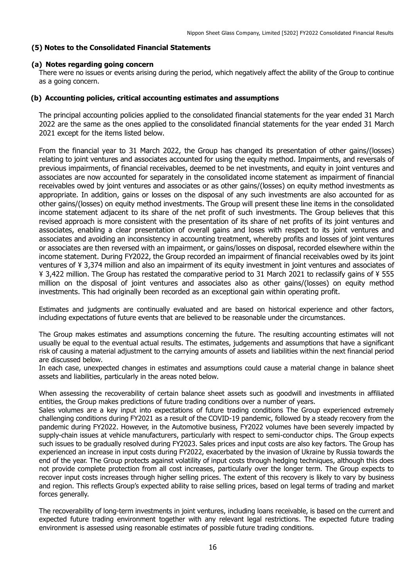### **(5) Notes to the Consolidated Financial Statements**

#### **(a) Notes regarding going concern**

There were no issues or events arising during the period, which negatively affect the ability of the Group to continue as a going concern.

#### **(b) Accounting policies, critical accounting estimates and assumptions**

The principal accounting policies applied to the consolidated financial statements for the year ended 31 March 2022 are the same as the ones applied to the consolidated financial statements for the year ended 31 March 2021 except for the items listed below.

From the financial year to 31 March 2022, the Group has changed its presentation of other gains/(losses) relating to joint ventures and associates accounted for using the equity method. Impairments, and reversals of previous impairments, of financial receivables, deemed to be net investments, and equity in joint ventures and associates are now accounted for separately in the consolidated income statement as impairment of financial receivables owed by joint ventures and associates or as other gains/(losses) on equity method investments as appropriate. In addition, gains or losses on the disposal of any such investments are also accounted for as other gains/(losses) on equity method investments. The Group will present these line items in the consolidated income statement adjacent to its share of the net profit of such investments. The Group believes that this revised approach is more consistent with the presentation of its share of net profits of its joint ventures and associates, enabling a clear presentation of overall gains and loses with respect to its joint ventures and associates and avoiding an inconsistency in accounting treatment, whereby profits and losses of joint ventures or associates are then reversed with an impairment, or gains/losses on disposal, recorded elsewhere within the income statement. During FY2022, the Group recorded an impairment of financial receivables owed by its joint ventures of ¥ 3,374 million and also an impairment of its equity investment in joint ventures and associates of ¥ 3,422 million. The Group has restated the comparative period to 31 March 2021 to reclassify gains of ¥ 555 million on the disposal of joint ventures and associates also as other gains/(losses) on equity method investments. This had originally been recorded as an exceptional gain within operating profit.

Estimates and judgments are continually evaluated and are based on historical experience and other factors, including expectations of future events that are believed to be reasonable under the circumstances.

The Group makes estimates and assumptions concerning the future. The resulting accounting estimates will not usually be equal to the eventual actual results. The estimates, judgements and assumptions that have a significant risk of causing a material adjustment to the carrying amounts of assets and liabilities within the next financial period are discussed below.

In each case, unexpected changes in estimates and assumptions could cause a material change in balance sheet assets and liabilities, particularly in the areas noted below.

When assessing the recoverability of certain balance sheet assets such as goodwill and investments in affiliated entities, the Group makes predictions of future trading conditions over a number of years.

Sales volumes are a key input into expectations of future trading conditions The Group experienced extremely challenging conditions during FY2021 as a result of the COVID-19 pandemic, followed by a steady recovery from the pandemic during FY2022. However, in the Automotive business, FY2022 volumes have been severely impacted by supply-chain issues at vehicle manufacturers, particularly with respect to semi-conductor chips. The Group expects such issues to be gradually resolved during FY2023. Sales prices and input costs are also key factors. The Group has experienced an increase in input costs during FY2022, exacerbated by the invasion of Ukraine by Russia towards the end of the year. The Group protects against volatility of input costs through hedging techniques, although this does not provide complete protection from all cost increases, particularly over the longer term. The Group expects to recover input costs increases through higher selling prices. The extent of this recovery is likely to vary by business and region. This reflects Group's expected ability to raise selling prices, based on legal terms of trading and market forces generally.

The recoverability of long-term investments in joint ventures, including loans receivable, is based on the current and expected future trading environment together with any relevant legal restrictions. The expected future trading environment is assessed using reasonable estimates of possible future trading conditions.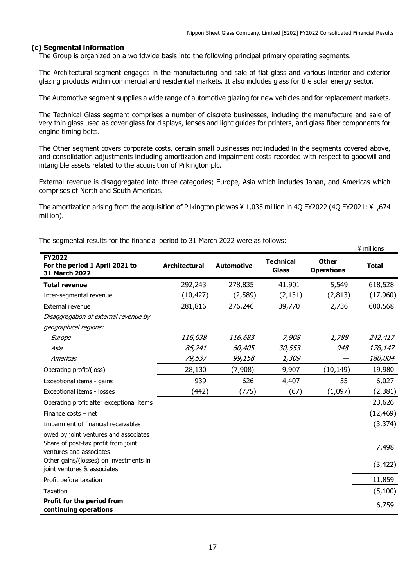#### **(c) Segmental information**

The Group is organized on a worldwide basis into the following principal primary operating segments.

The Architectural segment engages in the manufacturing and sale of flat glass and various interior and exterior glazing products within commercial and residential markets. It also includes glass for the solar energy sector.

The Automotive segment supplies a wide range of automotive glazing for new vehicles and for replacement markets.

The Technical Glass segment comprises a number of discrete businesses, including the manufacture and sale of very thin glass used as cover glass for displays, lenses and light guides for printers, and glass fiber components for engine timing belts.

The Other segment covers corporate costs, certain small businesses not included in the segments covered above, and consolidation adjustments including amortization and impairment costs recorded with respect to goodwill and intangible assets related to the acquisition of Pilkington plc.

External revenue is disaggregated into three categories; Europe, Asia which includes Japan, and Americas which comprises of North and South Americas.

The amortization arising from the acquisition of Pilkington plc was ¥ 1,035 million in 4Q FY2022 (4Q FY2021: ¥1,674 million).

| FY2022<br>For the period 1 April 2021 to<br>31 March 2022                                               | <b>Architectural</b> | <b>Automotive</b> | <b>Technical</b><br><b>Glass</b> | <b>Other</b><br><b>Operations</b> | <b>Total</b> |
|---------------------------------------------------------------------------------------------------------|----------------------|-------------------|----------------------------------|-----------------------------------|--------------|
| <b>Total revenue</b>                                                                                    | 292,243              | 278,835           | 41,901                           | 5,549                             | 618,528      |
| Inter-segmental revenue                                                                                 | (10, 427)            | (2,589)           | (2, 131)                         | (2, 813)                          | (17,960)     |
| External revenue                                                                                        | 281,816              | 276,246           | 39,770                           | 2,736                             | 600,568      |
| Disaggregation of external revenue by                                                                   |                      |                   |                                  |                                   |              |
| geographical regions:                                                                                   |                      |                   |                                  |                                   |              |
| Europe                                                                                                  | 116,038              | 116,683           | 7,908                            | 1,788                             | 242,417      |
| Asia                                                                                                    | 86,241               | 60,405            | 30,553                           | 948                               | 178,147      |
| Americas                                                                                                | 79,537               | 99,158            | 1,309                            |                                   | 180,004      |
| Operating profit/(loss)                                                                                 | 28,130               | (7,908)           | 9,907                            | (10, 149)                         | 19,980       |
| Exceptional items - gains                                                                               | 939                  | 626               | 4,407                            | 55                                | 6,027        |
| Exceptional items - losses                                                                              | (442)                | (775)             | (67)                             | (1,097)                           | (2, 381)     |
| Operating profit after exceptional items                                                                |                      |                   |                                  |                                   | 23,626       |
| Finance costs $-$ net                                                                                   |                      |                   |                                  |                                   | (12, 469)    |
| Impairment of financial receivables                                                                     |                      |                   |                                  |                                   | (3, 374)     |
| owed by joint ventures and associates<br>Share of post-tax profit from joint<br>ventures and associates |                      |                   |                                  |                                   | 7,498        |
| Other gains/(losses) on investments in<br>joint ventures & associates                                   |                      |                   |                                  |                                   | (3, 422)     |
| Profit before taxation                                                                                  |                      |                   |                                  |                                   | 11,859       |
| Taxation                                                                                                |                      |                   |                                  |                                   | (5, 100)     |
| Profit for the period from<br>continuing operations                                                     |                      |                   |                                  |                                   | 6,759        |

The segmental results for the financial period to 31 March 2022 were as follows: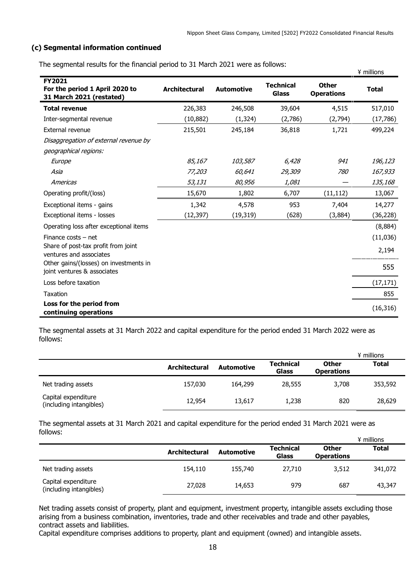## **(c) Segmental information continued**

|                                                                             |                      |                   |                                  |                                   | ¥ millions   |
|-----------------------------------------------------------------------------|----------------------|-------------------|----------------------------------|-----------------------------------|--------------|
| <b>FY2021</b><br>For the period 1 April 2020 to<br>31 March 2021 (restated) | <b>Architectural</b> | <b>Automotive</b> | <b>Technical</b><br><b>Glass</b> | <b>Other</b><br><b>Operations</b> | <b>Total</b> |
| <b>Total revenue</b>                                                        | 226,383              | 246,508           | 39,604                           | 4,515                             | 517,010      |
| Inter-segmental revenue                                                     | (10, 882)            | (1, 324)          | (2,786)                          | (2,794)                           | (17, 786)    |
| External revenue                                                            | 215,501              | 245,184           | 36,818                           | 1,721                             | 499,224      |
| Disaggregation of external revenue by<br>geographical regions:              |                      |                   |                                  |                                   |              |
| Europe                                                                      | 85,167               | 103,587           | 6,428                            | 941                               | 196,123      |
| Asia                                                                        | 77,203               | 60,641            | 29,309                           | <i>780</i>                        | 167,933      |
| Americas                                                                    | 53,131               | 80,956            | 1,081                            |                                   | 135,168      |
| Operating profit/(loss)                                                     | 15,670               | 1,802             | 6,707                            | (11, 112)                         | 13,067       |
| Exceptional items - gains                                                   | 1,342                | 4,578             | 953                              | 7,404                             | 14,277       |
| Exceptional items - losses                                                  | (12, 397)            | (19, 319)         | (628)                            | (3,884)                           | (36, 228)    |
| Operating loss after exceptional items                                      |                      |                   |                                  |                                   | (8,884)      |
| Finance costs $-$ net                                                       |                      |                   |                                  |                                   | (11,036)     |
| Share of post-tax profit from joint<br>ventures and associates              |                      |                   |                                  |                                   | 2,194        |
| Other gains/(losses) on investments in<br>joint ventures & associates       |                      |                   |                                  |                                   | 555          |
| Loss before taxation                                                        |                      |                   |                                  |                                   | (17, 171)    |
| <b>Taxation</b>                                                             |                      |                   |                                  |                                   | 855          |
| Loss for the period from<br>continuing operations                           |                      |                   |                                  |                                   | (16, 316)    |

The segmental assets at 31 March 2022 and capital expenditure for the period ended 31 March 2022 were as follows:

|                                                |                      |                   |                           |                                   | ¥ millions   |
|------------------------------------------------|----------------------|-------------------|---------------------------|-----------------------------------|--------------|
|                                                | <b>Architectural</b> | <b>Automotive</b> | <b>Technical</b><br>Glass | <b>Other</b><br><b>Operations</b> | <b>Total</b> |
| Net trading assets                             | 157,030              | 164,299           | 28,555                    | 3,708                             | 353,592      |
| Capital expenditure<br>(including intangibles) | 12,954               | 13,617            | 1,238                     | 820                               | 28,629       |

The segmental assets at 31 March 2021 and capital expenditure for the period ended 31 March 2021 were as follows:  $\ddot{x}$  millions

|                                                |                      |                   |                           |                                   | ¥ millions   |
|------------------------------------------------|----------------------|-------------------|---------------------------|-----------------------------------|--------------|
|                                                | <b>Architectural</b> | <b>Automotive</b> | <b>Technical</b><br>Glass | <b>Other</b><br><b>Operations</b> | <b>Total</b> |
| Net trading assets                             | 154,110              | 155,740           | 27,710                    | 3,512                             | 341,072      |
| Capital expenditure<br>(including intangibles) | 27,028               | 14,653            | 979                       | 687                               | 43,347       |

Net trading assets consist of property, plant and equipment, investment property, intangible assets excluding those arising from a business combination, inventories, trade and other receivables and trade and other payables, contract assets and liabilities.

Capital expenditure comprises additions to property, plant and equipment (owned) and intangible assets.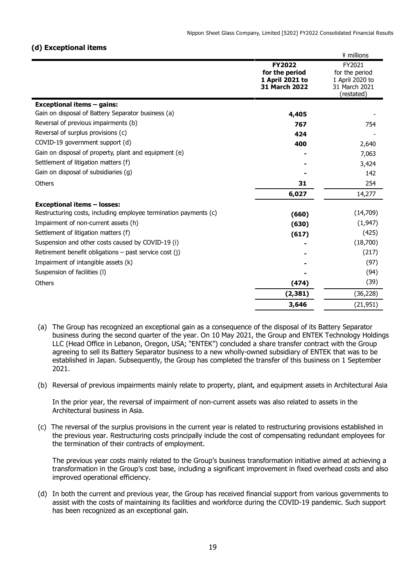### **(d) Exceptional items**

|                                                                  |                                                                            | ¥ millions                                                                 |
|------------------------------------------------------------------|----------------------------------------------------------------------------|----------------------------------------------------------------------------|
|                                                                  | <b>FY2022</b><br>for the period<br>1 April 2021 to<br><b>31 March 2022</b> | FY2021<br>for the period<br>1 April 2020 to<br>31 March 2021<br>(restated) |
| <b>Exceptional items - gains:</b>                                |                                                                            |                                                                            |
| Gain on disposal of Battery Separator business (a)               | 4,405                                                                      |                                                                            |
| Reversal of previous impairments (b)                             | 767                                                                        | 754                                                                        |
| Reversal of surplus provisions (c)                               | 424                                                                        |                                                                            |
| COVID-19 government support (d)                                  | 400                                                                        | 2,640                                                                      |
| Gain on disposal of property, plant and equipment (e)            |                                                                            | 7,063                                                                      |
| Settlement of litigation matters (f)                             |                                                                            | 3,424                                                                      |
| Gain on disposal of subsidiaries (g)                             |                                                                            | 142                                                                        |
| Others                                                           | 31                                                                         | 254                                                                        |
|                                                                  | 6,027                                                                      | 14,277                                                                     |
| <b>Exceptional items - losses:</b>                               |                                                                            |                                                                            |
| Restructuring costs, including employee termination payments (c) | (660)                                                                      | (14,709)                                                                   |
| Impairment of non-current assets (h)                             | (630)                                                                      | (1, 947)                                                                   |
| Settlement of litigation matters (f)                             | (617)                                                                      | (425)                                                                      |
| Suspension and other costs caused by COVID-19 (i)                |                                                                            | (18,700)                                                                   |
| Retirement benefit obligations - past service cost (j)           |                                                                            | (217)                                                                      |
| Impairment of intangible assets (k)                              |                                                                            | (97)                                                                       |
| Suspension of facilities (I)                                     |                                                                            | (94)                                                                       |
| Others                                                           | (474)                                                                      | (39)                                                                       |
|                                                                  | (2, 381)                                                                   | (36, 228)                                                                  |
|                                                                  | 3,646                                                                      | (21, 951)                                                                  |

- (a) The Group has recognized an exceptional gain as a consequence of the disposal of its Battery Separator business during the second quarter of the year. On 10 May 2021, the Group and ENTEK Technology Holdings LLC (Head Office in Lebanon, Oregon, USA; "ENTEK") concluded a share transfer contract with the Group agreeing to sell its Battery Separator business to a new wholly-owned subsidiary of ENTEK that was to be established in Japan. Subsequently, the Group has completed the transfer of this business on 1 September 2021.
- (b) Reversal of previous impairments mainly relate to property, plant, and equipment assets in Architectural Asia

In the prior year, the reversal of impairment of non-current assets was also related to assets in the Architectural business in Asia.

(c) The reversal of the surplus provisions in the current year is related to restructuring provisions established in the previous year. Restructuring costs principally include the cost of compensating redundant employees for the termination of their contracts of employment.

The previous year costs mainly related to the Group's business transformation initiative aimed at achieving a transformation in the Group's cost base, including a significant improvement in fixed overhead costs and also improved operational efficiency.

(d) In both the current and previous year, the Group has received financial support from various governments to assist with the costs of maintaining its facilities and workforce during the COVID-19 pandemic. Such support has been recognized as an exceptional gain.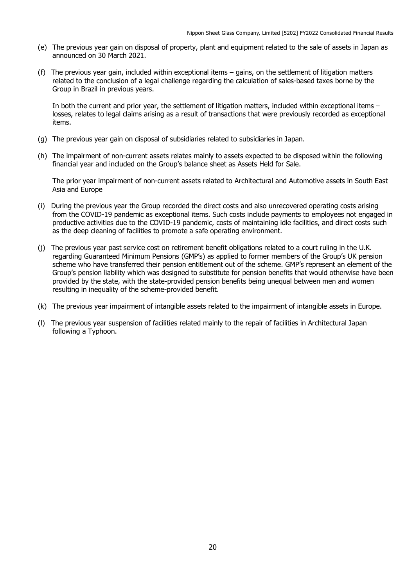- (e) The previous year gain on disposal of property, plant and equipment related to the sale of assets in Japan as announced on 30 March 2021.
- (f) The previous year gain, included within exceptional items gains, on the settlement of litigation matters related to the conclusion of a legal challenge regarding the calculation of sales-based taxes borne by the Group in Brazil in previous years.

In both the current and prior year, the settlement of litigation matters, included within exceptional items – losses, relates to legal claims arising as a result of transactions that were previously recorded as exceptional items.

- (g) The previous year gain on disposal of subsidiaries related to subsidiaries in Japan.
- (h) The impairment of non-current assets relates mainly to assets expected to be disposed within the following financial year and included on the Group's balance sheet as Assets Held for Sale.

The prior year impairment of non-current assets related to Architectural and Automotive assets in South East Asia and Europe

- (i) During the previous year the Group recorded the direct costs and also unrecovered operating costs arising from the COVID-19 pandemic as exceptional items. Such costs include payments to employees not engaged in productive activities due to the COVID-19 pandemic, costs of maintaining idle facilities, and direct costs such as the deep cleaning of facilities to promote a safe operating environment.
- (j) The previous year past service cost on retirement benefit obligations related to a court ruling in the U.K. regarding Guaranteed Minimum Pensions (GMP's) as applied to former members of the Group's UK pension scheme who have transferred their pension entitlement out of the scheme. GMP's represent an element of the Group's pension liability which was designed to substitute for pension benefits that would otherwise have been provided by the state, with the state-provided pension benefits being unequal between men and women resulting in inequality of the scheme-provided benefit.
- (k) The previous year impairment of intangible assets related to the impairment of intangible assets in Europe.
- (l) The previous year suspension of facilities related mainly to the repair of facilities in Architectural Japan following a Typhoon.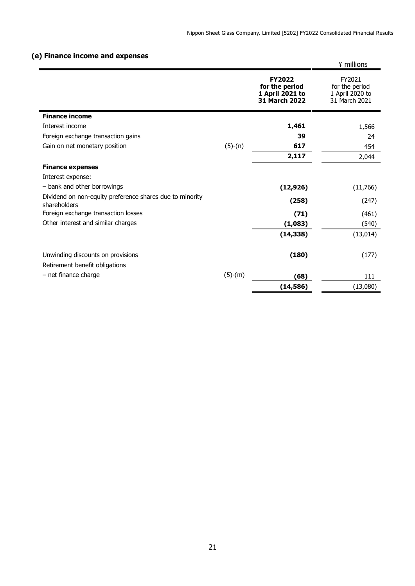## **(e) Finance income and expenses**

|                                                                          |           |                                                                     | ¥ millions                                                   |
|--------------------------------------------------------------------------|-----------|---------------------------------------------------------------------|--------------------------------------------------------------|
|                                                                          |           | <b>FY2022</b><br>for the period<br>1 April 2021 to<br>31 March 2022 | FY2021<br>for the period<br>1 April 2020 to<br>31 March 2021 |
| <b>Finance income</b>                                                    |           |                                                                     |                                                              |
| Interest income                                                          |           | 1,461                                                               | 1,566                                                        |
| Foreign exchange transaction gains                                       |           | 39                                                                  | 24                                                           |
| Gain on net monetary position                                            | $(5)-(n)$ | 617                                                                 | 454                                                          |
|                                                                          |           | 2,117                                                               | 2,044                                                        |
| <b>Finance expenses</b>                                                  |           |                                                                     |                                                              |
| Interest expense:                                                        |           |                                                                     |                                                              |
| - bank and other borrowings                                              |           | (12, 926)                                                           | (11,766)                                                     |
| Dividend on non-equity preference shares due to minority<br>shareholders |           | (258)                                                               | (247)                                                        |
| Foreign exchange transaction losses                                      |           | (71)                                                                | (461)                                                        |
| Other interest and similar charges                                       |           | (1,083)                                                             | (540)                                                        |
|                                                                          |           | (14, 338)                                                           | (13, 014)                                                    |
| Unwinding discounts on provisions                                        |           | (180)                                                               | (177)                                                        |
| Retirement benefit obligations                                           |           |                                                                     |                                                              |
| - net finance charge                                                     | $(5)-(m)$ | (68)                                                                | 111                                                          |
|                                                                          |           | (14, 586)                                                           | (13,080)                                                     |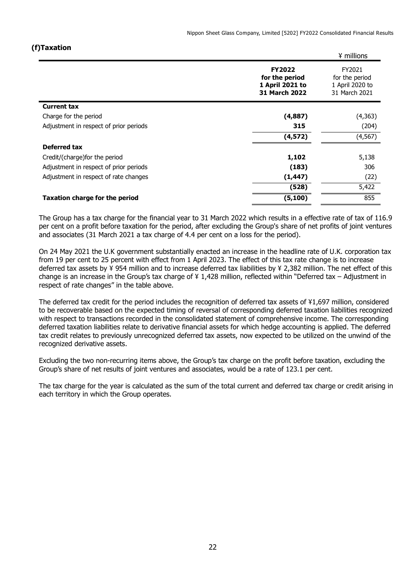## **(f)Taxation**

|                                        |                                                                     | ¥ millions                                                   |
|----------------------------------------|---------------------------------------------------------------------|--------------------------------------------------------------|
|                                        | <b>FY2022</b><br>for the period<br>1 April 2021 to<br>31 March 2022 | FY2021<br>for the period<br>1 April 2020 to<br>31 March 2021 |
| <b>Current tax</b>                     |                                                                     |                                                              |
| Charge for the period                  | (4,887)                                                             | (4,363)                                                      |
| Adjustment in respect of prior periods | 315                                                                 | (204)                                                        |
|                                        | (4,572)                                                             | (4, 567)                                                     |
| <b>Deferred tax</b>                    |                                                                     |                                                              |
| Credit/(charge) for the period         | 1,102                                                               | 5,138                                                        |
| Adjustment in respect of prior periods | (183)                                                               | 306                                                          |
| Adjustment in respect of rate changes  | (1, 447)                                                            | (22)                                                         |
|                                        | (528)                                                               | 5,422                                                        |
| <b>Taxation charge for the period</b>  | (5, 100)                                                            | 855                                                          |

The Group has a tax charge for the financial year to 31 March 2022 which results in a effective rate of tax of 116.9 per cent on a profit before taxation for the period, after excluding the Group's share of net profits of joint ventures and associates (31 March 2021 a tax charge of 4.4 per cent on a loss for the period).

On 24 May 2021 the U.K government substantially enacted an increase in the headline rate of U.K. corporation tax from 19 per cent to 25 percent with effect from 1 April 2023. The effect of this tax rate change is to increase deferred tax assets by ¥ 954 million and to increase deferred tax liabilities by ¥ 2,382 million. The net effect of this change is an increase in the Group's tax charge of ¥ 1,428 million, reflected within "Deferred tax – Adjustment in respect of rate changes" in the table above.

The deferred tax credit for the period includes the recognition of deferred tax assets of ¥1,697 million, considered to be recoverable based on the expected timing of reversal of corresponding deferred taxation liabilities recognized with respect to transactions recorded in the consolidated statement of comprehensive income. The corresponding deferred taxation liabilities relate to derivative financial assets for which hedge accounting is applied. The deferred tax credit relates to previously unrecognized deferred tax assets, now expected to be utilized on the unwind of the recognized derivative assets.

Excluding the two non-recurring items above, the Group's tax charge on the profit before taxation, excluding the Group's share of net results of joint ventures and associates, would be a rate of 123.1 per cent.

The tax charge for the year is calculated as the sum of the total current and deferred tax charge or credit arising in each territory in which the Group operates.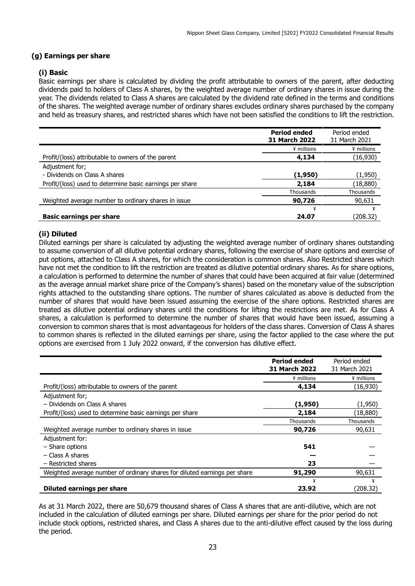## **(g) Earnings per share**

### **(i) Basic**

Basic earnings per share is calculated by dividing the profit attributable to owners of the parent, after deducting dividends paid to holders of Class A shares, by the weighted average number of ordinary shares in issue during the year. The dividends related to Class A shares are calculated by the dividend rate defined in the terms and conditions of the shares. The weighted average number of ordinary shares excludes ordinary shares purchased by the company and held as treasury shares, and restricted shares which have not been satisfied the conditions to lift the restriction.

|                                                          | <b>Period ended</b><br><b>31 March 2022</b> | Period ended<br>31 March 2021 |
|----------------------------------------------------------|---------------------------------------------|-------------------------------|
|                                                          | ¥ millions                                  | ¥ millions                    |
| Profit/(loss) attributable to owners of the parent       | 4,134                                       | (16,930)                      |
| Adjustment for;                                          |                                             |                               |
| - Dividends on Class A shares                            | (1,950)                                     | (1,950)                       |
| Profit/(loss) used to determine basic earnings per share | 2,184                                       | (18,880)                      |
|                                                          | Thousands                                   | Thousands                     |
| Weighted average number to ordinary shares in issue      | 90,726                                      | 90,631                        |
|                                                          | ¥                                           |                               |
| <b>Basic earnings per share</b>                          | 24.07                                       | (208.32)                      |

### **(ii) Diluted**

Diluted earnings per share is calculated by adjusting the weighted average number of ordinary shares outstanding to assume conversion of all dilutive potential ordinary shares, following the exercise of share options and exercise of put options, attached to Class A shares, for which the consideration is common shares. Also Restricted shares which have not met the condition to lift the restriction are treated as dilutive potential ordinary shares. As for share options, a calculation is performed to determine the number of shares that could have been acquired at fair value (determined as the average annual market share price of the Company's shares) based on the monetary value of the subscription rights attached to the outstanding share options. The number of shares calculated as above is deducted from the number of shares that would have been issued assuming the exercise of the share options. Restricted shares are treated as dilutive potential ordinary shares until the conditions for lifting the restrictions are met. As for Class A shares, a calculation is performed to determine the number of shares that would have been issued, assuming a conversion to common shares that is most advantageous for holders of the class shares. Conversion of Class A shares to common shares is reflected in the diluted earnings per share, using the factor applied to the case where the put options are exercised from 1 July 2022 onward, if the conversion has dilutive effect.

|                                                                           | <b>Period ended</b>  | Period ended  |
|---------------------------------------------------------------------------|----------------------|---------------|
|                                                                           | <b>31 March 2022</b> | 31 March 2021 |
|                                                                           | ¥ millions           | ¥ millions    |
| Profit/(loss) attributable to owners of the parent                        | 4,134                | (16,930)      |
| Adjustment for;                                                           |                      |               |
| - Dividends on Class A shares                                             | (1,950)              | (1,950)       |
| Profit/(loss) used to determine basic earnings per share                  | 2,184                | (18,880)      |
|                                                                           | Thousands            | Thousands     |
| Weighted average number to ordinary shares in issue                       | 90,726               | 90,631        |
| Adjustment for:                                                           |                      |               |
| - Share options                                                           | 541                  |               |
| $-$ Class A shares                                                        |                      |               |
| - Restricted shares                                                       | 23                   |               |
| Weighted average number of ordinary shares for diluted earnings per share | 91,290               | 90,631        |
|                                                                           | ¥                    | ¥             |
| Diluted earnings per share                                                | 23.92                | (208.32)      |

As at 31 March 2022, there are 50,679 thousand shares of Class A shares that are anti-dilutive, which are not included in the calculation of diluted earnings per share. Diluted earnings per share for the prior period do not include stock options, restricted shares, and Class A shares due to the anti-dilutive effect caused by the loss during the period.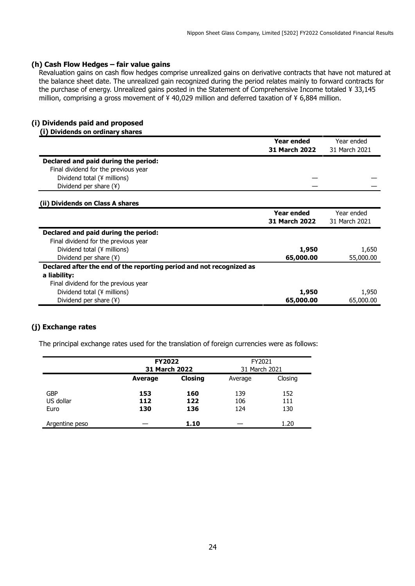#### **(h) Cash Flow Hedges – fair value gains**

Revaluation gains on cash flow hedges comprise unrealized gains on derivative contracts that have not matured at the balance sheet date. The unrealized gain recognized during the period relates mainly to forward contracts for the purchase of energy. Unrealized gains posted in the Statement of Comprehensive Income totaled ¥ 33,145 million, comprising a gross movement of ¥ 40,029 million and deferred taxation of ¥ 6,884 million.

#### **(i) Dividends paid and proposed (i) Dividends on ordinary shares**

|                                                                      | <b>Year ended</b>    | Year ended    |
|----------------------------------------------------------------------|----------------------|---------------|
|                                                                      |                      |               |
|                                                                      | 31 March 2022        | 31 March 2021 |
| Declared and paid during the period:                                 |                      |               |
| Final dividend for the previous year                                 |                      |               |
| Dividend total (¥ millions)                                          |                      |               |
| Dividend per share (¥)                                               |                      |               |
| (ii) Dividends on Class A shares                                     |                      |               |
|                                                                      | <b>Year ended</b>    | Year ended    |
|                                                                      | <b>31 March 2022</b> | 31 March 2021 |
| Declared and paid during the period:                                 |                      |               |
| Final dividend for the previous year                                 |                      |               |
| Dividend total (¥ millions)                                          | 1,950                | 1,650         |
| Dividend per share (¥)                                               | 65,000.00            | 55,000.00     |
| Declared after the end of the reporting period and not recognized as |                      |               |
| a liability:                                                         |                      |               |
| Final dividend for the previous year                                 |                      |               |
| Dividend total (¥ millions)                                          | 1,950                | 1,950         |
| Dividend per share (¥)                                               | 65,000.00            | 65,000.00     |

## **(j) Exchange rates**

The principal exchange rates used for the translation of foreign currencies were as follows:

|                         | <b>FY2022</b><br><b>31 March 2022</b> |                | FY2021<br>31 March 2021 |            |
|-------------------------|---------------------------------------|----------------|-------------------------|------------|
|                         | Average                               | <b>Closing</b> | Average                 | Closing    |
| <b>GBP</b><br>US dollar | 153<br>112                            | 160<br>122     | 139<br>106              | 152<br>111 |
| Euro                    | 130                                   | 136            | 124                     | 130        |
| Argentine peso          |                                       | 1.10           |                         | 1.20       |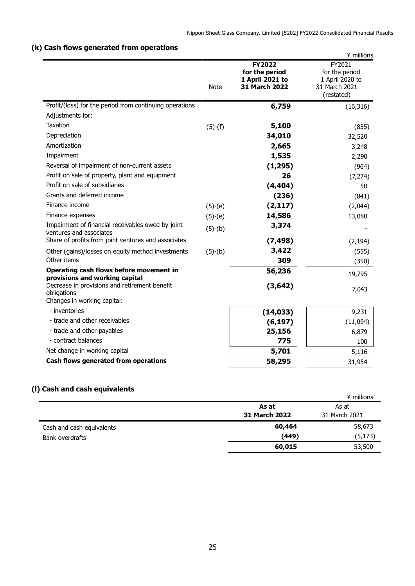## **(k) Cash flows generated from operations**

|                                                                                             |             |                                                                     | ¥ millions                                                                 |
|---------------------------------------------------------------------------------------------|-------------|---------------------------------------------------------------------|----------------------------------------------------------------------------|
|                                                                                             | <b>Note</b> | <b>FY2022</b><br>for the period<br>1 April 2021 to<br>31 March 2022 | FY2021<br>for the period<br>1 April 2020 to<br>31 March 2021<br>(restated) |
| Profit/(loss) for the period from continuing operations                                     |             | 6,759                                                               | (16, 316)                                                                  |
| Adjustments for:                                                                            |             |                                                                     |                                                                            |
| Taxation                                                                                    | $(5)-(f)$   | 5,100                                                               | (855)                                                                      |
| Depreciation                                                                                |             | 34,010                                                              | 32,520                                                                     |
| Amortization                                                                                |             | 2,665                                                               | 3,248                                                                      |
| Impairment                                                                                  |             | 1,535                                                               | 2,290                                                                      |
| Reversal of impairment of non-current assets                                                |             | (1, 295)                                                            | (964)                                                                      |
| Profit on sale of property, plant and equipment                                             |             | 26                                                                  | (7, 274)                                                                   |
| Profit on sale of subsidiaries                                                              |             | (4, 404)                                                            | 50                                                                         |
| Grants and deferred income                                                                  |             | (236)                                                               | (841)                                                                      |
| Finance income                                                                              | $(5)-(e)$   | (2, 117)                                                            | (2,044)                                                                    |
| Finance expenses                                                                            | $(5)-(e)$   | 14,586                                                              | 13,080                                                                     |
| Impairment of financial receivables owed by joint<br>ventures and associates                | $(5)-(b)$   | 3,374                                                               |                                                                            |
| Share of profits from joint ventures and associates                                         |             | (7, 498)                                                            | (2, 194)                                                                   |
| Other (gains)/losses on equity method investments                                           | $(5)-(b)$   | 3,422                                                               | (555)                                                                      |
| Other items                                                                                 |             | 309                                                                 | (350)                                                                      |
| Operating cash flows before movement in<br>provisions and working capital                   |             | 56,236                                                              | 19,795                                                                     |
| Decrease in provisions and retirement benefit<br>obligations<br>Changes in working capital: |             | (3, 642)                                                            | 7,043                                                                      |
| - inventories                                                                               |             | (14, 033)                                                           | 9,231                                                                      |
| - trade and other receivables                                                               |             | (6, 197)                                                            | (11,094)                                                                   |
| - trade and other payables                                                                  |             | 25,156                                                              | 6,879                                                                      |
| - contract balances                                                                         |             | 775                                                                 | 100                                                                        |
| Net change in working capital                                                               |             | 5,701                                                               | 5,116                                                                      |
| Cash flows generated from operations                                                        |             | 58,295                                                              | 31,954                                                                     |

## **(l) Cash and cash equivalents**

|                           |                      | ¥ millions    |
|---------------------------|----------------------|---------------|
|                           | As at                | As at         |
|                           | <b>31 March 2022</b> | 31 March 2021 |
| Cash and cash equivalents | 60,464               | 58,673        |
| Bank overdrafts           | (449)                | (5, 173)      |
|                           | 60,015               | 53,500        |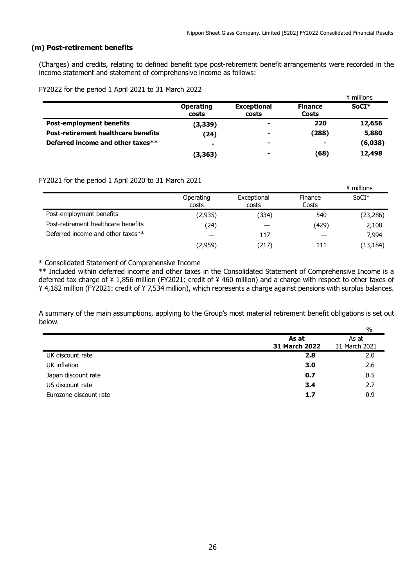#### **(m) Post-retirement benefits**

(Charges) and credits, relating to defined benefit type post-retirement benefit arrangements were recorded in the income statement and statement of comprehensive income as follows:

FY2022 for the period 1 April 2021 to 31 March 2022

|                                            |                           |                             |                         | ¥ millions |
|--------------------------------------------|---------------------------|-----------------------------|-------------------------|------------|
|                                            | <b>Operating</b><br>costs | <b>Exceptional</b><br>costs | <b>Finance</b><br>Costs | $SoCI*$    |
| <b>Post-employment benefits</b>            | (3, 339)                  |                             | 220                     | 12,656     |
| <b>Post-retirement healthcare benefits</b> | (24)                      | ۰                           | (288)                   | 5,880      |
| Deferred income and other taxes**          |                           | ۰                           | ۰                       | (6,038)    |
|                                            | (3, 363)                  |                             | (68)                    | 12,498     |

FY2021 for the period 1 April 2020 to 31 March 2021

| $\frac{1}{2}$ and $\frac{1}{2}$ and $\frac{1}{2}$ and $\frac{1}{2}$ and $\frac{1}{2}$ and $\frac{1}{2}$ and $\frac{1}{2}$ and $\frac{1}{2}$ and $\frac{1}{2}$ |                    |                      |                  | ¥ millions |
|---------------------------------------------------------------------------------------------------------------------------------------------------------------|--------------------|----------------------|------------------|------------|
|                                                                                                                                                               | Operating<br>costs | Exceptional<br>costs | Finance<br>Costs | $SoCI*$    |
| Post-employment benefits                                                                                                                                      | (2, 935)           | (334)                | 540              | (23, 286)  |
| Post-retirement healthcare benefits                                                                                                                           | (24)               |                      | (429)            | 2,108      |
| Deferred income and other taxes**                                                                                                                             |                    | 117                  |                  | 7,994      |
|                                                                                                                                                               | (2,959)            | (217)                | 111              | (13, 184)  |

\* Consolidated Statement of Comprehensive Income

\*\* Included within deferred income and other taxes in the Consolidated Statement of Comprehensive Income is a deferred tax charge of ¥ 1,856 million (FY2021: credit of ¥ 460 million) and a charge with respect to other taxes of ¥ 4,182 million (FY2021: credit of ¥ 7,534 million), which represents a charge against pensions with surplus balances.

A summary of the main assumptions, applying to the Group's most material retirement benefit obligations is set out below.  $\sim$ 

|                        |                      | ۷ο            |
|------------------------|----------------------|---------------|
|                        | As at                | As at         |
|                        | <b>31 March 2022</b> | 31 March 2021 |
| UK discount rate       | 2.8                  | 2.0           |
| UK inflation           | 3.0                  | 2.6           |
| Japan discount rate    | 0.7                  | 0.5           |
| US discount rate       | 3.4                  | 2.7           |
| Eurozone discount rate | 1.7                  | 0.9           |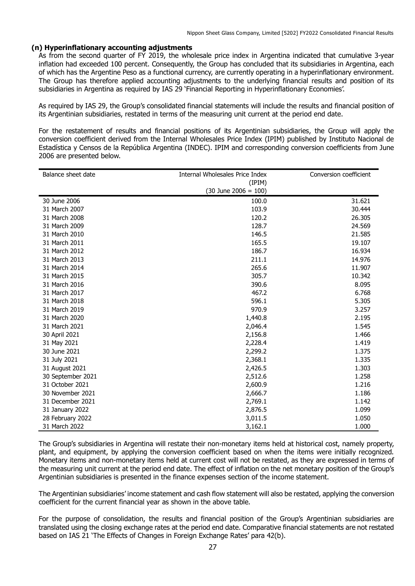### **(n) Hyperinflationary accounting adjustments**

As from the second quarter of FY 2019, the wholesale price index in Argentina indicated that cumulative 3-year inflation had exceeded 100 percent. Consequently, the Group has concluded that its subsidiaries in Argentina, each of which has the Argentine Peso as a functional currency, are currently operating in a hyperinflationary environment. The Group has therefore applied accounting adjustments to the underlying financial results and position of its subsidiaries in Argentina as required by IAS 29 'Financial Reporting in Hyperinflationary Economies'.

As required by IAS 29, the Group's consolidated financial statements will include the results and financial position of its Argentinian subsidiaries, restated in terms of the measuring unit current at the period end date.

For the restatement of results and financial positions of its Argentinian subsidiaries, the Group will apply the conversion coefficient derived from the Internal Wholesales Price Index (IPIM) published by Instituto Nacional de Estadística y Censos de la República Argentina (INDEC). IPIM and corresponding conversion coefficients from June 2006 are presented below.

| Balance sheet date | Internal Wholesales Price Index | Conversion coefficient |
|--------------------|---------------------------------|------------------------|
|                    | (IPIM)                          |                        |
|                    | $(30$ June 2006 = 100)          |                        |
| 30 June 2006       | 100.0                           | 31.621                 |
| 31 March 2007      | 103.9                           | 30.444                 |
| 31 March 2008      | 120.2                           | 26.305                 |
| 31 March 2009      | 128.7                           | 24.569                 |
| 31 March 2010      | 146.5                           | 21.585                 |
| 31 March 2011      | 165.5                           | 19.107                 |
| 31 March 2012      | 186.7                           | 16.934                 |
| 31 March 2013      | 211.1                           | 14.976                 |
| 31 March 2014      | 265.6                           | 11.907                 |
| 31 March 2015      | 305.7                           | 10.342                 |
| 31 March 2016      | 390.6                           | 8.095                  |
| 31 March 2017      | 467.2                           | 6.768                  |
| 31 March 2018      | 596.1                           | 5.305                  |
| 31 March 2019      | 970.9                           | 3.257                  |
| 31 March 2020      | 1,440.8                         | 2.195                  |
| 31 March 2021      | 2,046.4                         | 1.545                  |
| 30 April 2021      | 2,156.8                         | 1.466                  |
| 31 May 2021        | 2,228.4                         | 1.419                  |
| 30 June 2021       | 2,299.2                         | 1.375                  |
| 31 July 2021       | 2,368.1                         | 1.335                  |
| 31 August 2021     | 2,426.5                         | 1.303                  |
| 30 September 2021  | 2,512.6                         | 1.258                  |
| 31 October 2021    | 2,600.9                         | 1.216                  |
| 30 November 2021   | 2,666.7                         | 1.186                  |
| 31 December 2021   | 2,769.1                         | 1.142                  |
| 31 January 2022    | 2,876.5                         | 1.099                  |
| 28 February 2022   | 3,011.5                         | 1.050                  |
| 31 March 2022      | 3,162.1                         | 1.000                  |

The Group's subsidiaries in Argentina will restate their non-monetary items held at historical cost, namely property, plant, and equipment, by applying the conversion coefficient based on when the items were initially recognized. Monetary items and non-monetary items held at current cost will not be restated, as they are expressed in terms of the measuring unit current at the period end date. The effect of inflation on the net monetary position of the Group's Argentinian subsidiaries is presented in the finance expenses section of the income statement.

The Argentinian subsidiaries' income statement and cash flow statement will also be restated, applying the conversion coefficient for the current financial year as shown in the above table.

For the purpose of consolidation, the results and financial position of the Group's Argentinian subsidiaries are translated using the closing exchange rates at the period end date. Comparative financial statements are not restated based on IAS 21 'The Effects of Changes in Foreign Exchange Rates' para 42(b).